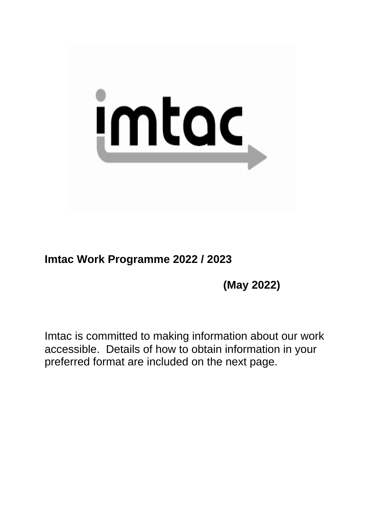

# **Imtac Work Programme 2022 / 2023**

**(May 2022)**

Imtac is committed to making information about our work accessible. Details of how to obtain information in your preferred format are included on the next page.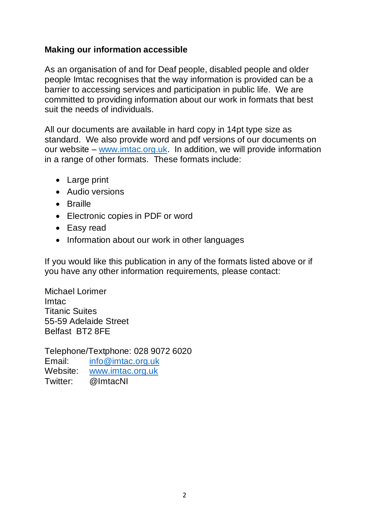### **Making our information accessible**

As an organisation of and for Deaf people, disabled people and older people Imtac recognises that the way information is provided can be a barrier to accessing services and participation in public life. We are committed to providing information about our work in formats that best suit the needs of individuals.

All our documents are available in hard copy in 14pt type size as standard. We also provide word and pdf versions of our documents on our website – [www.imtac.org.uk.](http://www.imtac.org.uk/) In addition, we will provide information in a range of other formats. These formats include:

- Large print
- Audio versions
- Braille
- Electronic copies in PDF or word
- Easy read
- Information about our work in other languages

If you would like this publication in any of the formats listed above or if you have any other information requirements, please contact:

Michael Lorimer **Imtac** Titanic Suites 55-59 Adelaide Street Belfast BT2 8FE

Telephone/Textphone: 028 9072 6020 Email: [info@imtac.org.uk](mailto:info@imtac.org.uk) Website: [www.imtac.org.uk](http://www.imtac.org.uk/) Twitter: @ImtacNI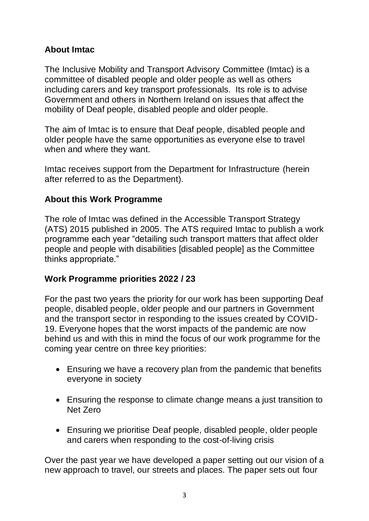# **About Imtac**

The Inclusive Mobility and Transport Advisory Committee (Imtac) is a committee of disabled people and older people as well as others including carers and key transport professionals. Its role is to advise Government and others in Northern Ireland on issues that affect the mobility of Deaf people, disabled people and older people.

The aim of Imtac is to ensure that Deaf people, disabled people and older people have the same opportunities as everyone else to travel when and where they want.

Imtac receives support from the Department for Infrastructure (herein after referred to as the Department).

# **About this Work Programme**

The role of Imtac was defined in the Accessible Transport Strategy (ATS) 2015 published in 2005. The ATS required Imtac to publish a work programme each year "detailing such transport matters that affect older people and people with disabilities [disabled people] as the Committee thinks appropriate."

# **Work Programme priorities 2022 / 23**

For the past two years the priority for our work has been supporting Deaf people, disabled people, older people and our partners in Government and the transport sector in responding to the issues created by COVID-19. Everyone hopes that the worst impacts of the pandemic are now behind us and with this in mind the focus of our work programme for the coming year centre on three key priorities:

- Ensuring we have a recovery plan from the pandemic that benefits everyone in society
- Ensuring the response to climate change means a just transition to Net Zero
- Ensuring we prioritise Deaf people, disabled people, older people and carers when responding to the cost-of-living crisis

Over the past year we have developed a paper setting out our vision of a new approach to travel, our streets and places. The paper sets out four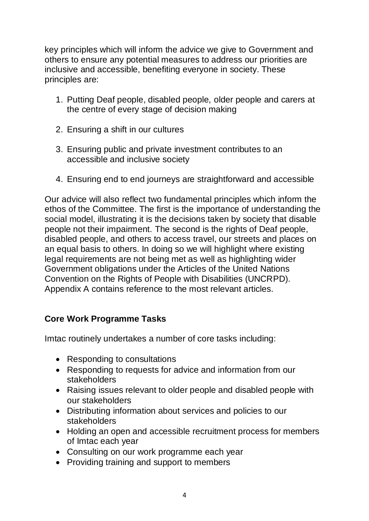key principles which will inform the advice we give to Government and others to ensure any potential measures to address our priorities are inclusive and accessible, benefiting everyone in society. These principles are:

- 1. Putting Deaf people, disabled people, older people and carers at the centre of every stage of decision making
- 2. Ensuring a shift in our cultures
- 3. Ensuring public and private investment contributes to an accessible and inclusive society
- 4. Ensuring end to end journeys are straightforward and accessible

Our advice will also reflect two fundamental principles which inform the ethos of the Committee. The first is the importance of understanding the social model, illustrating it is the decisions taken by society that disable people not their impairment. The second is the rights of Deaf people, disabled people, and others to access travel, our streets and places on an equal basis to others. In doing so we will highlight where existing legal requirements are not being met as well as highlighting wider Government obligations under the Articles of the United Nations Convention on the Rights of People with Disabilities (UNCRPD). Appendix A contains reference to the most relevant articles.

# **Core Work Programme Tasks**

Imtac routinely undertakes a number of core tasks including:

- Responding to consultations
- Responding to requests for advice and information from our stakeholders
- Raising issues relevant to older people and disabled people with our stakeholders
- Distributing information about services and policies to our stakeholders
- Holding an open and accessible recruitment process for members of Imtac each year
- Consulting on our work programme each year
- Providing training and support to members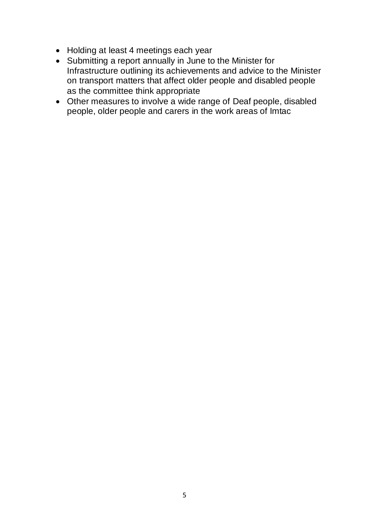- Holding at least 4 meetings each year
- Submitting a report annually in June to the Minister for Infrastructure outlining its achievements and advice to the Minister on transport matters that affect older people and disabled people as the committee think appropriate
- Other measures to involve a wide range of Deaf people, disabled people, older people and carers in the work areas of Imtac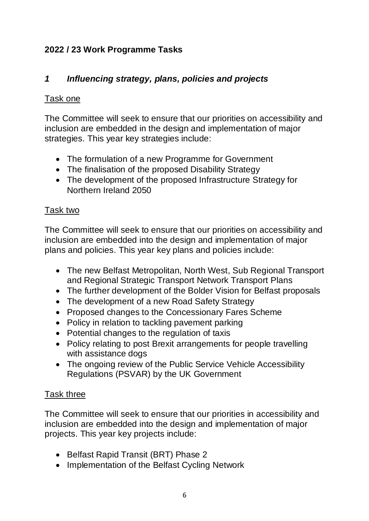# **2022 / 23 Work Programme Tasks**

# *1 Influencing strategy, plans, policies and projects*

#### Task one

The Committee will seek to ensure that our priorities on accessibility and inclusion are embedded in the design and implementation of major strategies. This year key strategies include:

- The formulation of a new Programme for Government
- The finalisation of the proposed Disability Strategy
- The development of the proposed Infrastructure Strategy for Northern Ireland 2050

#### Task two

The Committee will seek to ensure that our priorities on accessibility and inclusion are embedded into the design and implementation of major plans and policies. This year key plans and policies include:

- The new Belfast Metropolitan, North West, Sub Regional Transport and Regional Strategic Transport Network Transport Plans
- The further development of the Bolder Vision for Belfast proposals
- The development of a new Road Safety Strategy
- Proposed changes to the Concessionary Fares Scheme
- Policy in relation to tackling pavement parking
- Potential changes to the regulation of taxis
- Policy relating to post Brexit arrangements for people travelling with assistance dogs
- The ongoing review of the Public Service Vehicle Accessibility Regulations (PSVAR) by the UK Government

#### Task three

The Committee will seek to ensure that our priorities in accessibility and inclusion are embedded into the design and implementation of major projects. This year key projects include:

- Belfast Rapid Transit (BRT) Phase 2
- Implementation of the Belfast Cycling Network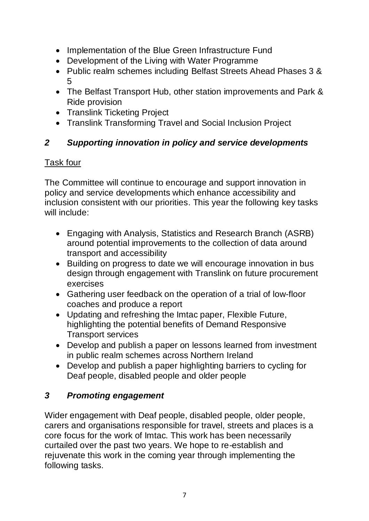- Implementation of the Blue Green Infrastructure Fund
- Development of the Living with Water Programme
- Public realm schemes including Belfast Streets Ahead Phases 3 & 5
- The Belfast Transport Hub, other station improvements and Park & Ride provision
- Translink Ticketing Project
- Translink Transforming Travel and Social Inclusion Project

# *2 Supporting innovation in policy and service developments*

# Task four

The Committee will continue to encourage and support innovation in policy and service developments which enhance accessibility and inclusion consistent with our priorities. This year the following key tasks will include:

- Engaging with Analysis, Statistics and Research Branch (ASRB) around potential improvements to the collection of data around transport and accessibility
- Building on progress to date we will encourage innovation in bus design through engagement with Translink on future procurement exercises
- Gathering user feedback on the operation of a trial of low-floor coaches and produce a report
- Updating and refreshing the Imtac paper, Flexible Future, highlighting the potential benefits of Demand Responsive Transport services
- Develop and publish a paper on lessons learned from investment in public realm schemes across Northern Ireland
- Develop and publish a paper highlighting barriers to cycling for Deaf people, disabled people and older people

# *3 Promoting engagement*

Wider engagement with Deaf people, disabled people, older people, carers and organisations responsible for travel, streets and places is a core focus for the work of Imtac. This work has been necessarily curtailed over the past two years. We hope to re-establish and rejuvenate this work in the coming year through implementing the following tasks.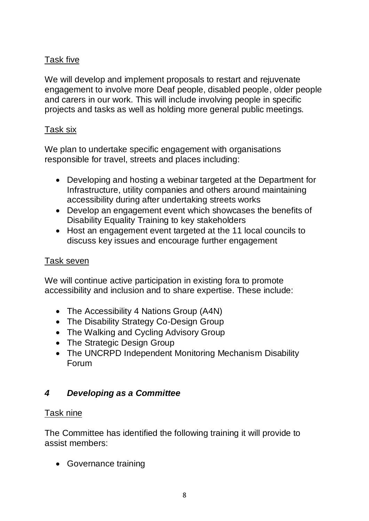# Task five

We will develop and implement proposals to restart and rejuvenate engagement to involve more Deaf people, disabled people, older people and carers in our work. This will include involving people in specific projects and tasks as well as holding more general public meetings.

#### Task six

We plan to undertake specific engagement with organisations responsible for travel, streets and places including:

- Developing and hosting a webinar targeted at the Department for Infrastructure, utility companies and others around maintaining accessibility during after undertaking streets works
- Develop an engagement event which showcases the benefits of Disability Equality Training to key stakeholders
- Host an engagement event targeted at the 11 local councils to discuss key issues and encourage further engagement

#### Task seven

We will continue active participation in existing fora to promote accessibility and inclusion and to share expertise. These include:

- The Accessibility 4 Nations Group (A4N)
- The Disability Strategy Co-Design Group
- The Walking and Cycling Advisory Group
- The Strategic Design Group
- The UNCRPD Independent Monitoring Mechanism Disability Forum

# *4 Developing as a Committee*

#### Task nine

The Committee has identified the following training it will provide to assist members:

• Governance training